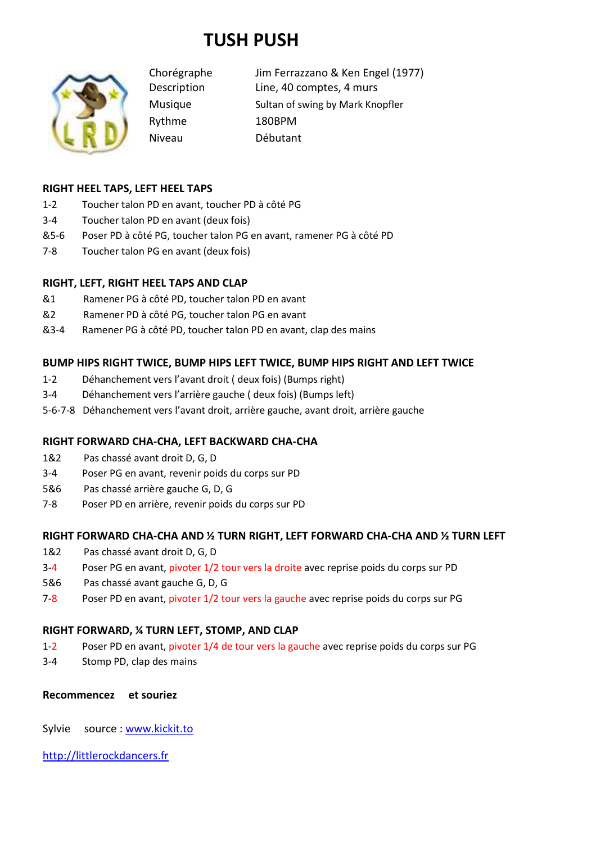# **TUSH PUSH**



Rythme 180BPM

Chorégraphe Jim Ferrazzano & Ken Engel (1977) Description Line, 40 comptes, 4 murs Musique Sultan of swing by Mark Knopfler Niveau Débutant

## **RIGHT HEEL TAPS, LEFT HEEL TAPS**

- 1-2 Toucher talon PD en avant, toucher PD à côté PG
- 3-4 Toucher talon PD en avant (deux fois)
- &5-6 Poser PD à côté PG, toucher talon PG en avant, ramener PG à côté PD
- 7-8 Toucher talon PG en avant (deux fois)

## **RIGHT, LEFT, RIGHT HEEL TAPS AND CLAP**

- &1 Ramener PG à côté PD, toucher talon PD en avant
- &2 Ramener PD à côté PG, toucher talon PG en avant
- &3-4 Ramener PG à côté PD, toucher talon PD en avant, clap des mains

## **BUMP HIPS RIGHT TWICE, BUMP HIPS LEFT TWICE, BUMP HIPS RIGHT AND LEFT TWICE**

- 1-2 Déhanchement vers l'avant droit ( deux fois) (Bumps right)
- 3-4 Déhanchement vers l'arrière gauche ( deux fois) (Bumps left)
- 5-6-7-8 Déhanchement vers l'avant droit, arrière gauche, avant droit, arrière gauche

## **RIGHT FORWARD CHA-CHA, LEFT BACKWARD CHA-CHA**

- 1&2 Pas chassé avant droit D, G, D
- 3-4 Poser PG en avant, revenir poids du corps sur PD
- 5&6 Pas chassé arrière gauche G, D, G
- 7-8 Poser PD en arrière, revenir poids du corps sur PD

#### **RIGHT FORWARD CHA-CHA AND ½ TURN RIGHT, LEFT FORWARD CHA-CHA AND ½ TURN LEFT**

- 1&2 Pas chassé avant droit D, G, D
- 3-4 Poser PG en avant, pivoter 1/2 tour vers la droite avec reprise poids du corps sur PD
- 5&6 Pas chassé avant gauche G, D, G
- 7-8 Poser PD en avant, pivoter 1/2 tour vers la gauche avec reprise poids du corps sur PG

## **RIGHT FORWARD, ¼ TURN LEFT, STOMP, AND CLAP**

- 1-2 Poser PD en avant, pivoter 1/4 de tour vers la gauche avec reprise poids du corps sur PG
- 3-4 Stomp PD, clap des mains

#### **Recommencez et souriez**

Sylvie source : www.kickit.to

http://littlerockdancers.fr